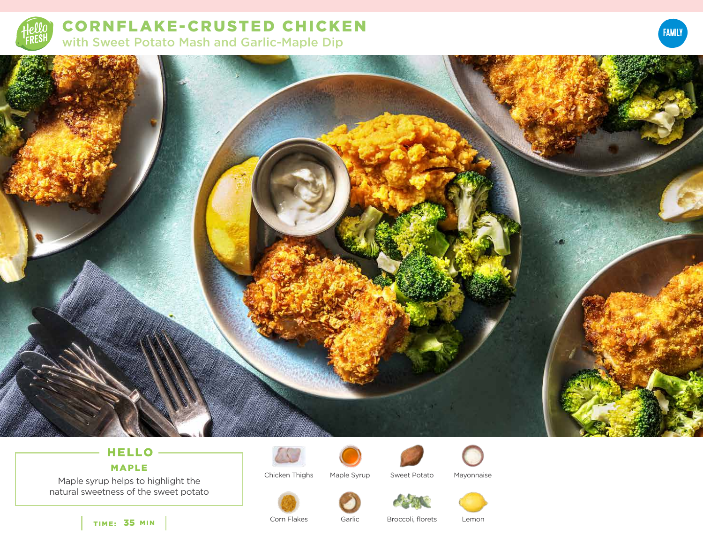

CORNFLAKE- CRUSTED CHICKEN with Sweet Potato Mash and Garlic-Maple Dip





# HELLO

MAPLE

Maple syrup helps to highlight the natural sweetness of the sweet potato



Chicken Thighs



Maple Syrup Sweet Potato Mayonnaise



Corn Flakes

Garlic Broccoli, florets Lemon